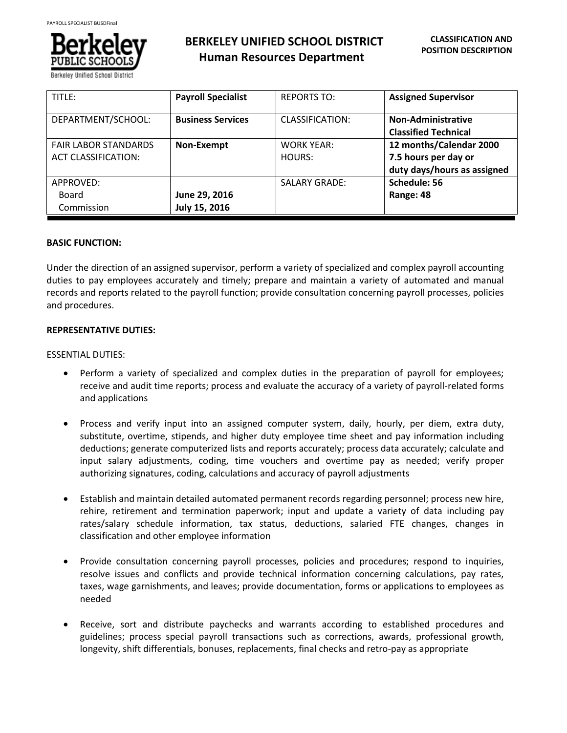

Berkelev Unified Schoo

| TITLE:                      | <b>Payroll Specialist</b> | <b>REPORTS TO:</b>     | <b>Assigned Supervisor</b>  |
|-----------------------------|---------------------------|------------------------|-----------------------------|
| DEPARTMENT/SCHOOL:          | <b>Business Services</b>  | <b>CLASSIFICATION:</b> | Non-Administrative          |
|                             |                           |                        | <b>Classified Technical</b> |
| <b>FAIR LABOR STANDARDS</b> | Non-Exempt                | <b>WORK YEAR:</b>      | 12 months/Calendar 2000     |
| <b>ACT CLASSIFICATION:</b>  |                           | HOURS:                 | 7.5 hours per day or        |
|                             |                           |                        | duty days/hours as assigned |
| APPROVED:                   |                           | <b>SALARY GRADE:</b>   | Schedule: 56                |
| Board                       | June 29, 2016             |                        | Range: 48                   |
| Commission                  | July 15, 2016             |                        |                             |

### **BASIC FUNCTION:**

Under the direction of an assigned supervisor, perform a variety of specialized and complex payroll accounting duties to pay employees accurately and timely; prepare and maintain a variety of automated and manual records and reports related to the payroll function; provide consultation concerning payroll processes, policies and procedures.

# **REPRESENTATIVE DUTIES:**

#### ESSENTIAL DUTIES:

- Perform a variety of specialized and complex duties in the preparation of payroll for employees; receive and audit time reports; process and evaluate the accuracy of a variety of payroll-related forms and applications
- Process and verify input into an assigned computer system, daily, hourly, per diem, extra duty, substitute, overtime, stipends, and higher duty employee time sheet and pay information including deductions; generate computerized lists and reports accurately; process data accurately; calculate and input salary adjustments, coding, time vouchers and overtime pay as needed; verify proper authorizing signatures, coding, calculations and accuracy of payroll adjustments
- Establish and maintain detailed automated permanent records regarding personnel; process new hire, rehire, retirement and termination paperwork; input and update a variety of data including pay rates/salary schedule information, tax status, deductions, salaried FTE changes, changes in classification and other employee information
- Provide consultation concerning payroll processes, policies and procedures; respond to inquiries, resolve issues and conflicts and provide technical information concerning calculations, pay rates, taxes, wage garnishments, and leaves; provide documentation, forms or applications to employees as needed
- Receive, sort and distribute paychecks and warrants according to established procedures and guidelines; process special payroll transactions such as corrections, awards, professional growth, longevity, shift differentials, bonuses, replacements, final checks and retro-pay as appropriate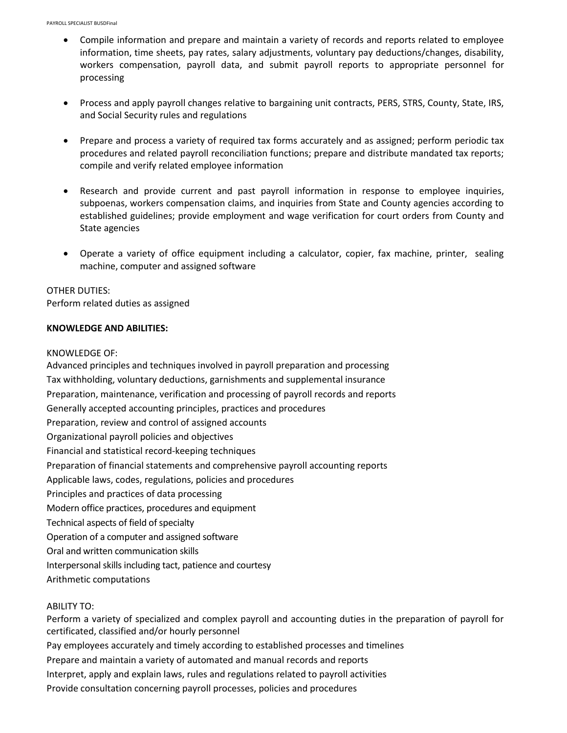- Compile information and prepare and maintain a variety of records and reports related to employee information, time sheets, pay rates, salary adjustments, voluntary pay deductions/changes, disability, workers compensation, payroll data, and submit payroll reports to appropriate personnel for processing
- Process and apply payroll changes relative to bargaining unit contracts, PERS, STRS, County, State, IRS, and Social Security rules and regulations
- Prepare and process a variety of required tax forms accurately and as assigned; perform periodic tax procedures and related payroll reconciliation functions; prepare and distribute mandated tax reports; compile and verify related employee information
- Research and provide current and past payroll information in response to employee inquiries, subpoenas, workers compensation claims, and inquiries from State and County agencies according to established guidelines; provide employment and wage verification for court orders from County and State agencies
- Operate a variety of office equipment including a calculator, copier, fax machine, printer, sealing machine, computer and assigned software

# OTHER DUTIES:

Perform related duties as assigned

### **KNOWLEDGE AND ABILITIES:**

### KNOWLEDGE OF:

Advanced principles and techniques involved in payroll preparation and processing Tax withholding, voluntary deductions, garnishments and supplemental insurance Preparation, maintenance, verification and processing of payroll records and reports Generally accepted accounting principles, practices and procedures Preparation, review and control of assigned accounts Organizational payroll policies and objectives Financial and statistical record-keeping techniques Preparation of financial statements and comprehensive payroll accounting reports Applicable laws, codes, regulations, policies and procedures Principles and practices of data processing Modern office practices, procedures and equipment Technical aspects of field of specialty Operation of a computer and assigned software Oral and written communication skills Interpersonal skills including tact, patience and courtesy Arithmetic computations

# ABILITY TO:

Perform a variety of specialized and complex payroll and accounting duties in the preparation of payroll for certificated, classified and/or hourly personnel Pay employees accurately and timely according to established processes and timelines Prepare and maintain a variety of automated and manual records and reports Interpret, apply and explain laws, rules and regulations related to payroll activities Provide consultation concerning payroll processes, policies and procedures